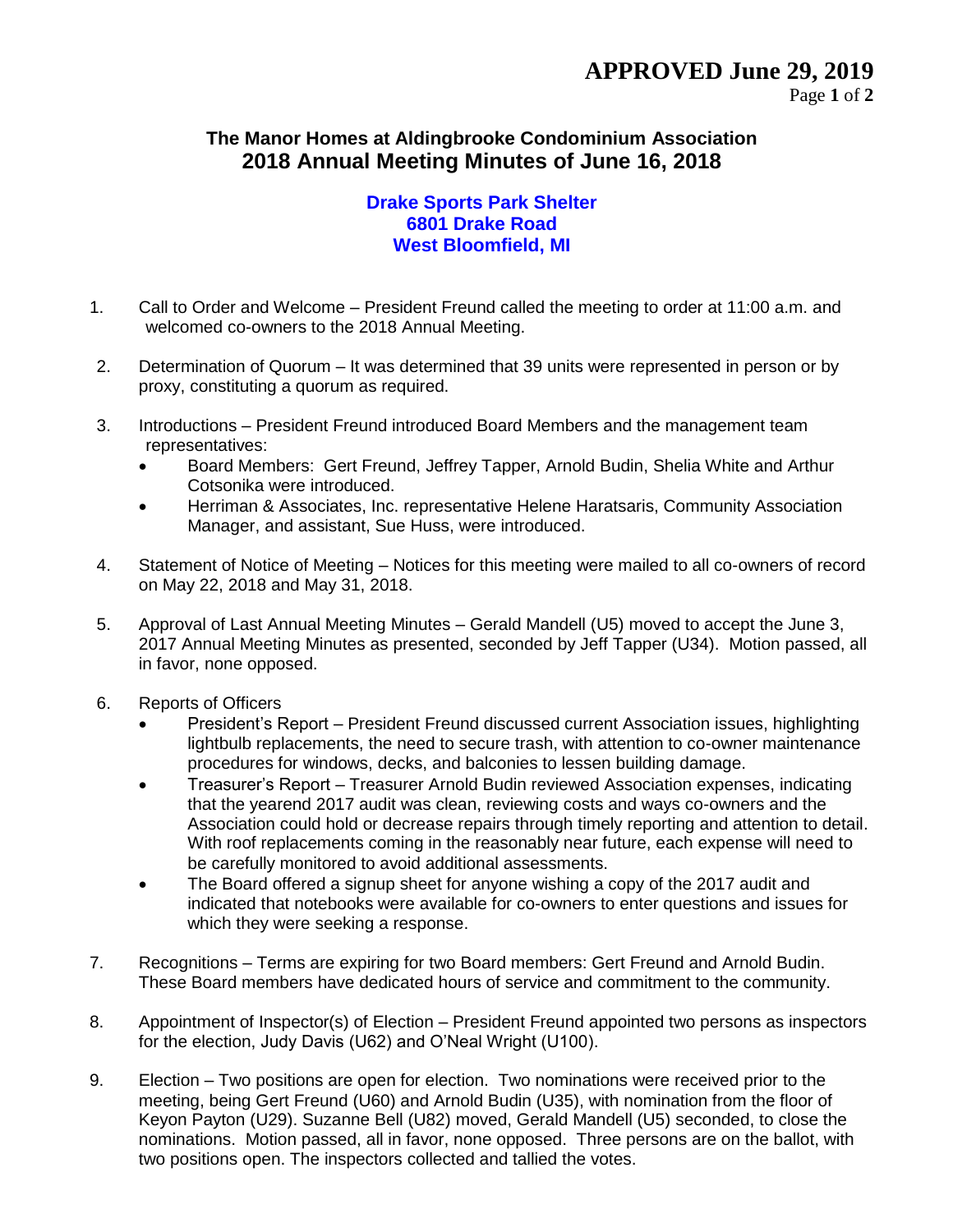## **The Manor Homes at Aldingbrooke Condominium Association 2018 Annual Meeting Minutes of June 16, 2018**

## **Drake Sports Park Shelter 6801 Drake Road West Bloomfield, MI**

- 1. Call to Order and Welcome President Freund called the meeting to order at 11:00 a.m. and welcomed co-owners to the 2018 Annual Meeting.
- 2. Determination of Quorum It was determined that 39 units were represented in person or by proxy, constituting a quorum as required.
- 3. Introductions President Freund introduced Board Members and the management team representatives:
	- Board Members: Gert Freund, Jeffrey Tapper, Arnold Budin, Shelia White and Arthur Cotsonika were introduced.
	- Herriman & Associates, Inc. representative Helene Haratsaris, Community Association Manager, and assistant, Sue Huss, were introduced.
- 4. Statement of Notice of Meeting Notices for this meeting were mailed to all co-owners of record on May 22, 2018 and May 31, 2018.
- 5. Approval of Last Annual Meeting Minutes Gerald Mandell (U5) moved to accept the June 3, 2017 Annual Meeting Minutes as presented, seconded by Jeff Tapper (U34). Motion passed, all in favor, none opposed.
- 6. Reports of Officers
	- President's Report President Freund discussed current Association issues, highlighting lightbulb replacements, the need to secure trash, with attention to co-owner maintenance procedures for windows, decks, and balconies to lessen building damage.
	- Treasurer's Report Treasurer Arnold Budin reviewed Association expenses, indicating that the yearend 2017 audit was clean, reviewing costs and ways co-owners and the Association could hold or decrease repairs through timely reporting and attention to detail. With roof replacements coming in the reasonably near future, each expense will need to be carefully monitored to avoid additional assessments.
	- The Board offered a signup sheet for anyone wishing a copy of the 2017 audit and indicated that notebooks were available for co-owners to enter questions and issues for which they were seeking a response.
- 7. Recognitions Terms are expiring for two Board members: Gert Freund and Arnold Budin. These Board members have dedicated hours of service and commitment to the community.
- 8. Appointment of Inspector(s) of Election President Freund appointed two persons as inspectors for the election, Judy Davis (U62) and O'Neal Wright (U100).
- 9. Election Two positions are open for election. Two nominations were received prior to the meeting, being Gert Freund (U60) and Arnold Budin (U35), with nomination from the floor of Keyon Payton (U29). Suzanne Bell (U82) moved, Gerald Mandell (U5) seconded, to close the nominations. Motion passed, all in favor, none opposed. Three persons are on the ballot, with two positions open. The inspectors collected and tallied the votes.